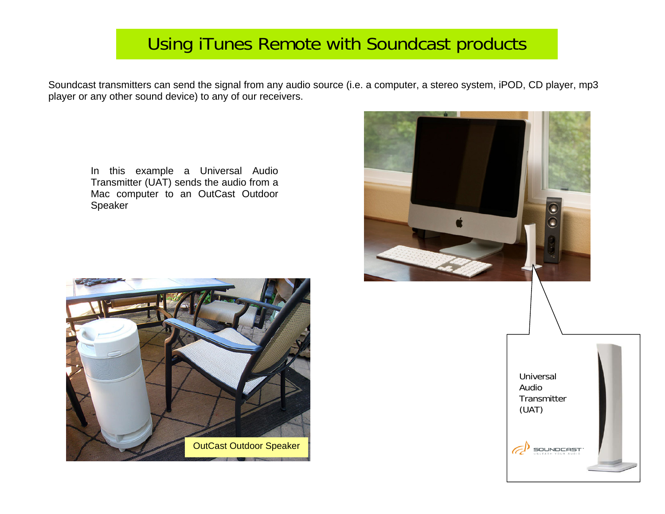#### Using iTunes Remote with Soundcast products

Soundcast transmitters can send the signal from any audio source (i.e. a computer, a stereo system, iPOD, CD player, mp3 player or any other sound device) to any of our receivers.

In this example a Universal Audio Transmitter (UAT) sends the audio from a Mac computer to an OutCast Outdoor Speaker





SOUNDCAST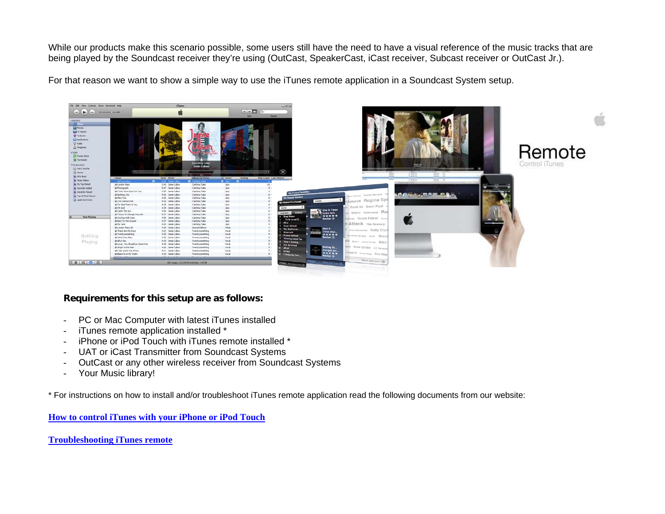While our products make this scenario possible, some users still have the need to have a visual reference of the music tracks that are being played by the Soundcast receiver they're using (OutCast, SpeakerCast, iCast receiver, Subcast receiver or OutCast Jr.).

For that reason we want to show a simple way to use the iTunes remote application in a Soundcast System setup.



#### **Requirements for this setup are as follows:**

- PC or Mac Computer with latest iTunes installed
- iTunes remote application installed \*
- iPhone or iPod Touch with iTunes remote installed \*
- UAT or iCast Transmitter from Soundcast Systems
- OutCast or any other wireless receiver from Soundcast Systems
- Your Music library!

\* For instructions on how to install and/or troubleshoot iTunes remote application read the following documents from our website:

**How to control iTunes with your iPhone or iPod Touch**

**Troubleshooting iTunes remote**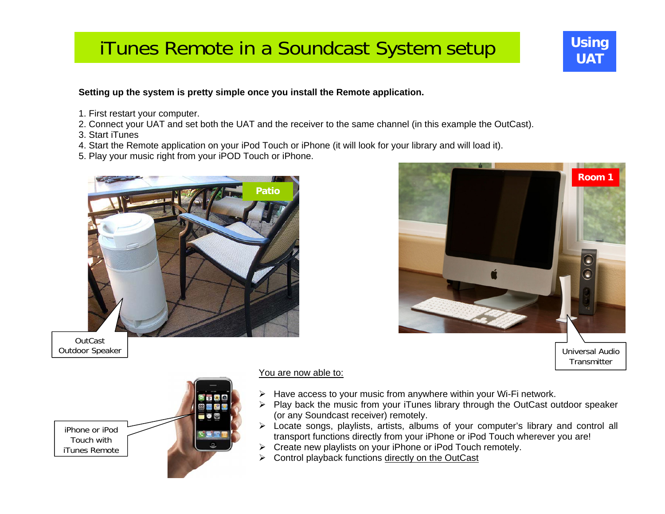## iTunes Remote in a Soundcast System setup **Usin**

#### **Setting up the system is pretty simple once you install the Remote application.**

- 1. First restart your computer.
- 2. Connect your UAT and set both the UAT and the receiver to the same channel (in this example the OutCast).
- 3. Start iTunes
- 4. Start the Remote application on your iPod Touch or iPhone (it will look for your library and will load it).
- 5. Play your music right from your iPOD Touch or iPhone.



**OutCast** 



**Using UAT** 



#### You are now able to:

- $\triangleright$  Have access to your music from anywhere within your Wi-Fi network.
- $\triangleright$  Play back the music from your iTunes library through the OutCast outdoor speaker (or any Soundcast receiver) remotely.
- ¾ Locate songs, playlists, artists, albums of your computer's library and control all transport functions directly from your iPhone or iPod Touch wherever you are!
- ¾ Create new playlists on your iPhone or iPod Touch remotely.
- $\triangleright$  Control playback functions directly on the OutCast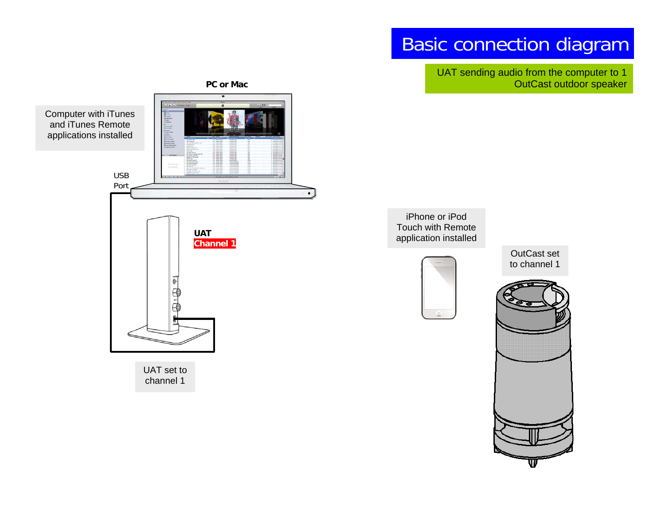### Basic connection diagram

UAT sending audio from the computer to 1 OutCast outdoor speaker

W



**PC or Mac**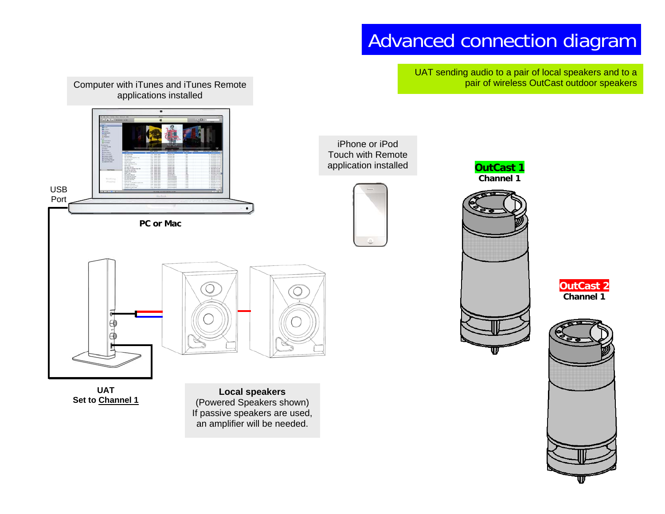#### Advanced connection diagram

**OutCast 1 Channel 1** 

UAT sending audio to a pair of local speakers and to a pair of wireless OutCast outdoor speakers

**OutCast 2 Channel 1** 



**Set to Channel 1**

(Powered Speakers shown) If passive speakers are used, an amplifier will be needed.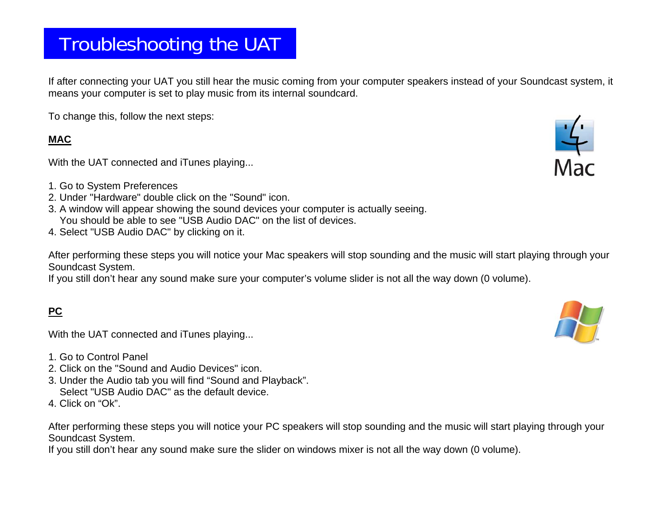## Troubleshooting the UAT

If after connecting your UAT you still hear the music coming from your computer speakers instead of your Soundcast system, it means your computer is set to play music from its internal soundcard.

To change this, follow the next steps:

#### **MAC**

With the UAT connected and iTunes playing...

- 1. Go to System Preferences
- 2. Under "Hardware" double click on the "Sound" icon.
- 3. A window will appear showing the sound devices your computer is actually seeing. You should be able to see "USB Audio DAC" on the list of devices.
- 4. Select "USB Audio DAC" by clicking on it.

After performing these steps you will notice your Mac speakers will stop sounding and the music will start playing through your Soundcast System.

If you still don't hear any sound make sure your computer's volume slider is not all the way down (0 volume).

#### **PC**

With the UAT connected and iTunes playing...

- 1. Go to Control Panel
- 2. Click on the "Sound and Audio Devices" icon.
- 3. Under the Audio tab you will find "Sound and Playback". Select "USB Audio DAC" as the default device.
- 4. Click on "Ok".

After performing these steps you will notice your PC speakers will stop sounding and the music will start playing through your Soundcast System.

If you still don't hear any sound make sure the slider on windows mixer is not all the way down (0 volume).



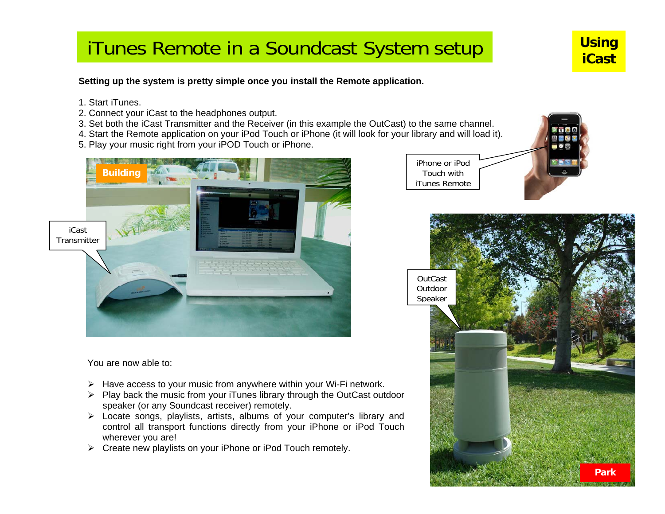## iTunes Remote in a Soundcast System setup **Usin**

**Setting up the system is pretty simple once you install the Remote application.** 

- 1. Start iTunes.
- 2. Connect your iCast to the headphones output.
- 3. Set both the iCast Transmitter and the Receiver (in this example the OutCast) to the same channel.
- 4. Start the Remote application on your iPod Touch or iPhone (it will look for your library and will load it).
- 5. Play your music right from your iPOD Touch or iPhone.



You are now able to:

- $\triangleright$  Have access to your music from anywhere within your Wi-Fi network.
- $\triangleright$  Play back the music from your iTunes library through the OutCast outdoor speaker (or any Soundcast receiver) remotely.
- ¾ Locate songs, playlists, artists, albums of your computer's library and control all transport functions directly from your iPhone or iPod Touch wherever you are!
- $\triangleright$  Create new playlists on your iPhone or iPod Touch remotely.



**Using iCast** 

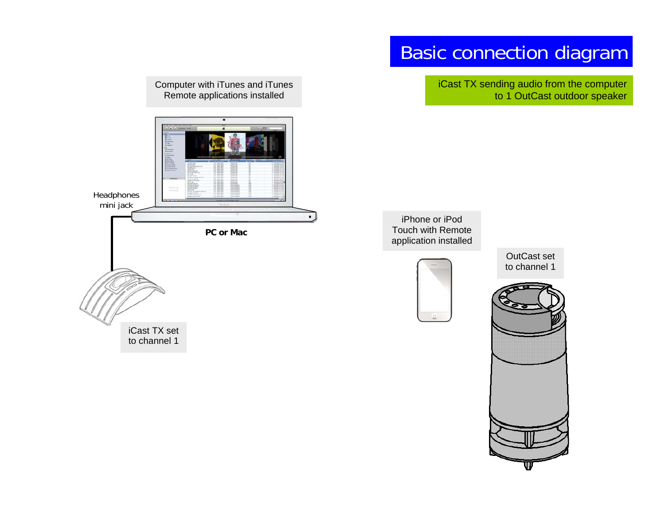![](_page_7_Figure_0.jpeg)

### Basic connection diagram

to 1 OutCast outdoor speaker

w